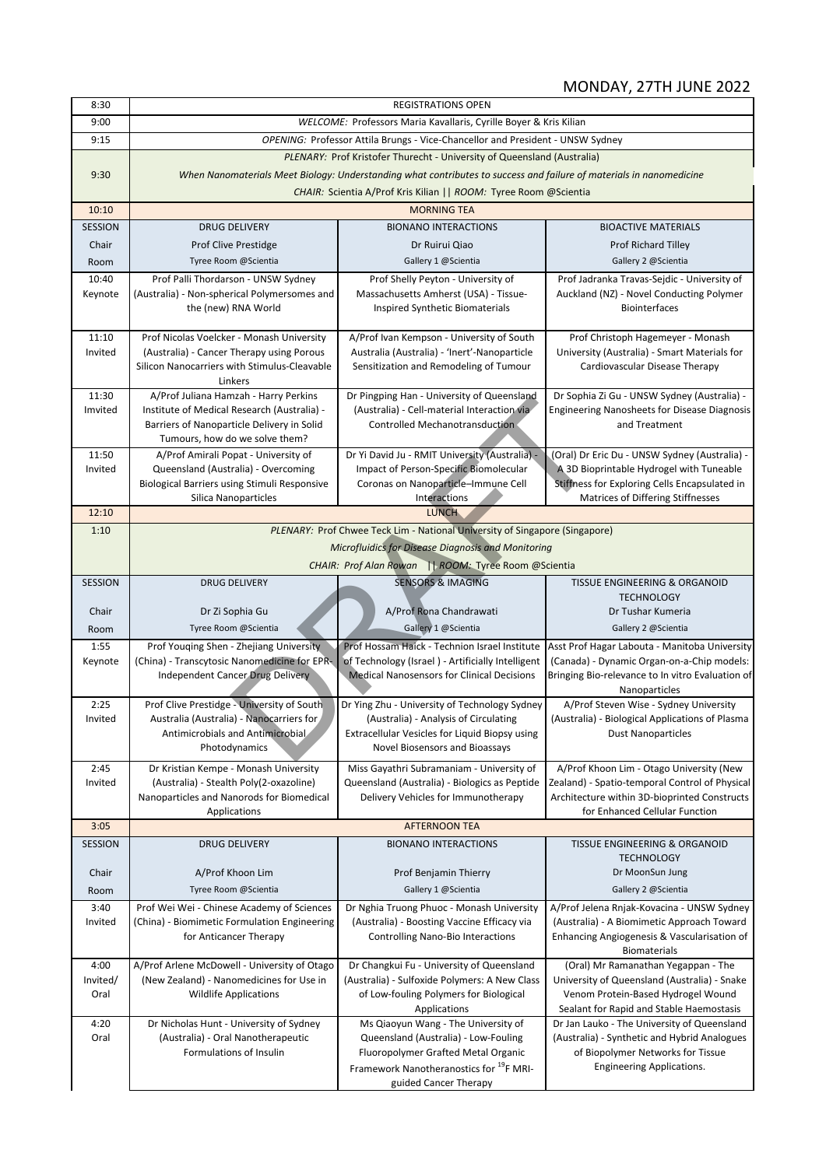## MONDAY, 27TH JUNE 2022

| 8:30             |                                                                                         | <b>REGISTRATIONS OPEN</b>                                                                                           |                                                                                                |
|------------------|-----------------------------------------------------------------------------------------|---------------------------------------------------------------------------------------------------------------------|------------------------------------------------------------------------------------------------|
| 9:00             |                                                                                         | WELCOME: Professors Maria Kavallaris, Cyrille Boyer & Kris Kilian                                                   |                                                                                                |
| 9:15             |                                                                                         | OPENING: Professor Attila Brungs - Vice-Chancellor and President - UNSW Sydney                                      |                                                                                                |
|                  |                                                                                         | PLENARY: Prof Kristofer Thurecht - University of Queensland (Australia)                                             |                                                                                                |
| 9:30             |                                                                                         | When Nanomaterials Meet Biology: Understanding what contributes to success and failure of materials in nanomedicine |                                                                                                |
|                  |                                                                                         | CHAIR: Scientia A/Prof Kris Kilian     ROOM: Tyree Room @Scientia                                                   |                                                                                                |
| 10:10            | <b>MORNING TEA</b>                                                                      |                                                                                                                     |                                                                                                |
| <b>SESSION</b>   | <b>DRUG DELIVERY</b>                                                                    | <b>BIONANO INTERACTIONS</b>                                                                                         | <b>BIOACTIVE MATERIALS</b>                                                                     |
| Chair            | <b>Prof Clive Prestidge</b>                                                             | Dr Ruirui Qiao                                                                                                      | <b>Prof Richard Tilley</b>                                                                     |
| Room             | Tyree Room @Scientia                                                                    | Gallery 1 @Scientia                                                                                                 | Gallery 2 @Scientia                                                                            |
| 10:40            | Prof Palli Thordarson - UNSW Sydney                                                     | Prof Shelly Peyton - University of                                                                                  | Prof Jadranka Travas-Sejdic - University of                                                    |
| Keynote          | (Australia) - Non-spherical Polymersomes and<br>the (new) RNA World                     | Massachusetts Amherst (USA) - Tissue-<br>Inspired Synthetic Biomaterials                                            | Auckland (NZ) - Novel Conducting Polymer<br><b>Biointerfaces</b>                               |
|                  |                                                                                         |                                                                                                                     |                                                                                                |
| 11:10            | Prof Nicolas Voelcker - Monash University                                               | A/Prof Ivan Kempson - University of South                                                                           | Prof Christoph Hagemeyer - Monash                                                              |
| Invited          | (Australia) - Cancer Therapy using Porous                                               | Australia (Australia) - 'Inert'-Nanoparticle                                                                        | University (Australia) - Smart Materials for                                                   |
|                  | Silicon Nanocarriers with Stimulus-Cleavable<br>Linkers                                 | Sensitization and Remodeling of Tumour                                                                              | Cardiovascular Disease Therapy                                                                 |
| 11:30            | A/Prof Juliana Hamzah - Harry Perkins                                                   | Dr Pingping Han - University of Queensland                                                                          | Dr Sophia Zi Gu - UNSW Sydney (Australia) -                                                    |
| Imvited          | Institute of Medical Research (Australia) -                                             | (Australia) - Cell-material Interaction via<br><b>Controlled Mechanotransduction</b>                                | Engineering Nanosheets for Disease Diagnosis                                                   |
|                  | Barriers of Nanoparticle Delivery in Solid<br>Tumours, how do we solve them?            |                                                                                                                     | and Treatment                                                                                  |
| 11:50            | A/Prof Amirali Popat - University of                                                    | Dr Yi David Ju - RMIT University (Australia) -                                                                      | (Oral) Dr Eric Du - UNSW Sydney (Australia) -                                                  |
| Invited          | Queensland (Australia) - Overcoming                                                     | Impact of Person-Specific Biomolecular                                                                              | A 3D Bioprintable Hydrogel with Tuneable                                                       |
|                  | Biological Barriers using Stimuli Responsive                                            | Coronas on Nanoparticle-Immune Cell                                                                                 | Stiffness for Exploring Cells Encapsulated in                                                  |
|                  | Silica Nanoparticles                                                                    | Interactions                                                                                                        | Matrices of Differing Stiffnesses                                                              |
| 12:10            |                                                                                         | <b>LUNCH</b>                                                                                                        |                                                                                                |
| 1:10             |                                                                                         | PLENARY: Prof Chwee Teck Lim - National University of Singapore (Singapore)                                         |                                                                                                |
|                  |                                                                                         | <b>Microfluidics for Disease Diagnosis and Monitoring</b>                                                           |                                                                                                |
|                  |                                                                                         | CHAIR: Prof Alan Rowan   ROOM: Tyree Room @Scientia                                                                 |                                                                                                |
| <b>SESSION</b>   | <b>DRUG DELIVERY</b>                                                                    | <b>SENSORS &amp; IMAGING</b>                                                                                        | TISSUE ENGINEERING & ORGANOID                                                                  |
|                  |                                                                                         |                                                                                                                     | <b>TECHNOLOGY</b>                                                                              |
| Chair            | Dr Zi Sophia Gu                                                                         | A/Prof Rona Chandrawati                                                                                             | Dr Tushar Kumeria                                                                              |
| Room             | Tyree Room @Scientia                                                                    | Gallery 1 @Scientia                                                                                                 | Gallery 2 @Scientia                                                                            |
| 1:55<br>Keynote  | Prof Youging Shen - Zhejiang University<br>(China) - Transcytosic Nanomedicine for EPR- | Prof Hossam Haick - Technion Israel Institute<br>of Technology (Israel) - Artificially Intelligent                  | Asst Prof Hagar Labouta - Manitoba University<br>(Canada) - Dynamic Organ-on-a-Chip models:    |
|                  | Independent Cancer Drug Delivery                                                        | <b>Medical Nanosensors for Clinical Decisions</b>                                                                   | Bringing Bio-relevance to In vitro Evaluation of                                               |
|                  |                                                                                         |                                                                                                                     | Nanoparticles                                                                                  |
| 2:25             | Prof Clive Prestidge - University of South                                              | Dr Ying Zhu - University of Technology Sydney                                                                       | A/Prof Steven Wise - Sydney University                                                         |
| Invited          | Australia (Australia) - Nanocarriers for                                                | (Australia) - Analysis of Circulating                                                                               | (Australia) - Biological Applications of Plasma                                                |
|                  | Antimicrobials and Antimicrobial                                                        | Extracellular Vesicles for Liquid Biopsy using                                                                      | <b>Dust Nanoparticles</b>                                                                      |
|                  | Photodynamics                                                                           | Novel Biosensors and Bioassays                                                                                      |                                                                                                |
| 2:45             | Dr Kristian Kempe - Monash University                                                   | Miss Gayathri Subramaniam - University of                                                                           | A/Prof Khoon Lim - Otago University (New                                                       |
| Invited          | (Australia) - Stealth Poly(2-oxazoline)<br>Nanoparticles and Nanorods for Biomedical    | Queensland (Australia) - Biologics as Peptide<br>Delivery Vehicles for Immunotherapy                                | Zealand) - Spatio-temporal Control of Physical<br>Architecture within 3D-bioprinted Constructs |
|                  | Applications                                                                            |                                                                                                                     | for Enhanced Cellular Function                                                                 |
| 3:05             |                                                                                         | <b>AFTERNOON TEA</b>                                                                                                |                                                                                                |
| <b>SESSION</b>   | <b>DRUG DELIVERY</b>                                                                    | <b>BIONANO INTERACTIONS</b>                                                                                         | TISSUE ENGINEERING & ORGANOID<br><b>TECHNOLOGY</b>                                             |
| Chair            | A/Prof Khoon Lim                                                                        | Prof Benjamin Thierry                                                                                               | Dr MoonSun Jung                                                                                |
| Room             | Tyree Room @Scientia                                                                    | Gallery 1 @Scientia                                                                                                 | Gallery 2 @Scientia                                                                            |
| 3:40             | Prof Wei Wei - Chinese Academy of Sciences                                              | Dr Nghia Truong Phuoc - Monash University                                                                           | A/Prof Jelena Rnjak-Kovacina - UNSW Sydney                                                     |
| Invited          | (China) - Biomimetic Formulation Engineering                                            | (Australia) - Boosting Vaccine Efficacy via                                                                         | (Australia) - A Biomimetic Approach Toward                                                     |
|                  | for Anticancer Therapy                                                                  | Controlling Nano-Bio Interactions                                                                                   | Enhancing Angiogenesis & Vascularisation of                                                    |
|                  |                                                                                         |                                                                                                                     | <b>Biomaterials</b>                                                                            |
| 4:00             | A/Prof Arlene McDowell - University of Otago                                            | Dr Changkui Fu - University of Queensland                                                                           | (Oral) Mr Ramanathan Yegappan - The                                                            |
| Invited/<br>Oral | (New Zealand) - Nanomedicines for Use in<br><b>Wildlife Applications</b>                | (Australia) - Sulfoxide Polymers: A New Class                                                                       | University of Queensland (Australia) - Snake                                                   |
|                  |                                                                                         | of Low-fouling Polymers for Biological<br>Applications                                                              | Venom Protein-Based Hydrogel Wound<br>Sealant for Rapid and Stable Haemostasis                 |
| 4:20             | Dr Nicholas Hunt - University of Sydney                                                 | Ms Qiaoyun Wang - The University of                                                                                 | Dr Jan Lauko - The University of Queensland                                                    |
| Oral             | (Australia) - Oral Nanotherapeutic                                                      | Queensland (Australia) - Low-Fouling                                                                                | (Australia) - Synthetic and Hybrid Analogues                                                   |
|                  | Formulations of Insulin                                                                 | Fluoropolymer Grafted Metal Organic                                                                                 | of Biopolymer Networks for Tissue                                                              |
|                  |                                                                                         | Framework Nanotheranostics for <sup>19</sup> F MRI-                                                                 | <b>Engineering Applications.</b>                                                               |
|                  |                                                                                         | guided Cancer Therapy                                                                                               |                                                                                                |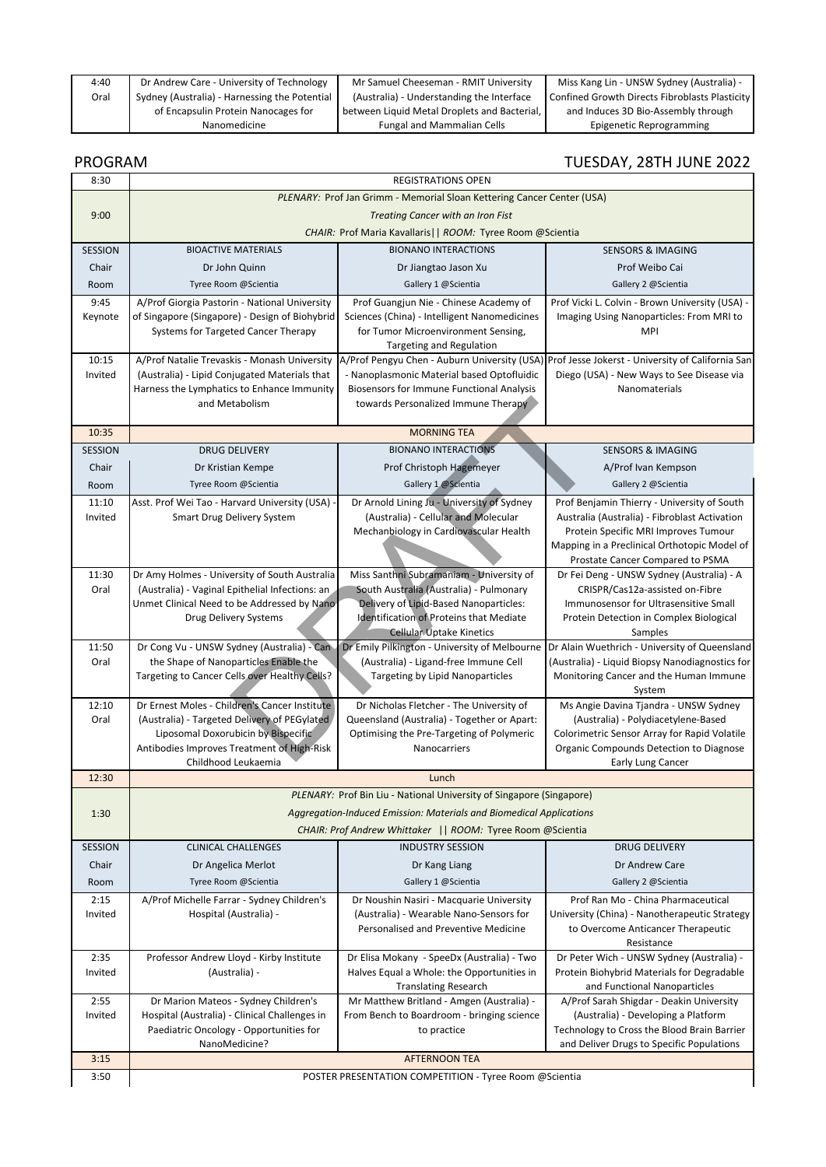| 4:40 | Dr Andrew Care - University of Technology     | Mr Samuel Cheeseman - RMIT University        | Miss Kang Lin - UNSW Sydney (Australia) -      |
|------|-----------------------------------------------|----------------------------------------------|------------------------------------------------|
| Oral | Sydney (Australia) - Harnessing the Potential | (Australia) - Understanding the Interface    | Confined Growth Directs Fibroblasts Plasticity |
|      | of Encapsulin Protein Nanocages for           | between Liquid Metal Droplets and Bacterial, | and Induces 3D Bio-Assembly through            |
|      | Nanomedicine                                  | <b>Fungal and Mammalian Cells</b>            | Epigenetic Reprogramming                       |

## PROGRAM TUESDAY, 28TH JUNE 2022

| 8:30           |                                                                                     | <b>REGISTRATIONS OPEN</b>                                                         |                                                                                                |
|----------------|-------------------------------------------------------------------------------------|-----------------------------------------------------------------------------------|------------------------------------------------------------------------------------------------|
|                |                                                                                     | PLENARY: Prof Jan Grimm - Memorial Sloan Kettering Cancer Center (USA)            |                                                                                                |
| 9:00           | Treating Cancer with an Iron Fist                                                   |                                                                                   |                                                                                                |
|                |                                                                                     | CHAIR: Prof Maria Kavallaris     ROOM: Tyree Room @Scientia                       |                                                                                                |
| <b>SESSION</b> | <b>BIOACTIVE MATERIALS</b>                                                          | <b>BIONANO INTERACTIONS</b>                                                       | <b>SENSORS &amp; IMAGING</b>                                                                   |
| Chair          | Dr John Quinn                                                                       | Dr Jiangtao Jason Xu                                                              | Prof Weibo Cai                                                                                 |
| Room           | Tyree Room @Scientia                                                                | Gallery 1 @Scientia                                                               | Gallery 2 @Scientia                                                                            |
| 9:45           | A/Prof Giorgia Pastorin - National University                                       | Prof Guangjun Nie - Chinese Academy of                                            | Prof Vicki L. Colvin - Brown University (USA) -                                                |
| Keynote        | of Singapore (Singapore) - Design of Biohybrid                                      | Sciences (China) - Intelligent Nanomedicines                                      | Imaging Using Nanoparticles: From MRI to                                                       |
|                | Systems for Targeted Cancer Therapy                                                 | for Tumor Microenvironment Sensing,                                               | MPI                                                                                            |
|                |                                                                                     | <b>Targeting and Regulation</b>                                                   |                                                                                                |
| 10:15          | A/Prof Natalie Trevaskis - Monash University                                        |                                                                                   | A/Prof Pengyu Chen - Auburn University (USA) Prof Jesse Jokerst - University of California San |
| Invited        | (Australia) - Lipid Conjugated Materials that                                       | - Nanoplasmonic Material based Optofluidic                                        | Diego (USA) - New Ways to See Disease via                                                      |
|                | Harness the Lymphatics to Enhance Immunity                                          | Biosensors for Immune Functional Analysis                                         | Nanomaterials                                                                                  |
|                | and Metabolism                                                                      | towards Personalized Immune Therapy                                               |                                                                                                |
| 10:35          |                                                                                     | <b>MORNING TEA</b>                                                                |                                                                                                |
| <b>SESSION</b> | <b>DRUG DELIVERY</b>                                                                | <b>BIONANO INTERACTIONS</b>                                                       | <b>SENSORS &amp; IMAGING</b>                                                                   |
| Chair          | Dr Kristian Kempe                                                                   | Prof Christoph Hagemeyer                                                          | A/Prof Ivan Kempson                                                                            |
| Room           | Tyree Room @Scientia                                                                | Gallery 1 @Scientia                                                               | Gallery 2 @Scientia                                                                            |
| 11:10          |                                                                                     | Dr Arnold Lining Ju - University of Sydney                                        |                                                                                                |
| Invited        | Asst. Prof Wei Tao - Harvard University (USA)<br><b>Smart Drug Delivery System</b>  | (Australia) - Cellular and Molecular                                              | Prof Benjamin Thierry - University of South<br>Australia (Australia) - Fibroblast Activation   |
|                |                                                                                     | Mechanbiology in Cardiovascular Health                                            | Protein Specific MRI Improves Tumour                                                           |
|                |                                                                                     |                                                                                   | Mapping in a Preclinical Orthotopic Model of                                                   |
|                |                                                                                     |                                                                                   | Prostate Cancer Compared to PSMA                                                               |
| 11:30          | Dr Amy Holmes - University of South Australia                                       | Miss Santhni Subramaniam - University of                                          | Dr Fei Deng - UNSW Sydney (Australia) - A                                                      |
| Oral           | (Australia) - Vaginal Epithelial Infections: an                                     | South Australia (Australia) - Pulmonary                                           | CRISPR/Cas12a-assisted on-Fibre                                                                |
|                | Unmet Clinical Need to be Addressed by Nano                                         | Delivery of Lipid-Based Nanoparticles:                                            | Immunosensor for Ultrasensitive Small                                                          |
|                | Drug Delivery Systems                                                               | <b>Identification of Proteins that Mediate</b><br><b>Cellular Uptake Kinetics</b> | Protein Detection in Complex Biological<br>Samples                                             |
| 11:50          | Dr Cong Vu - UNSW Sydney (Australia) - Can                                          |                                                                                   | Dr Emily Pilkington - University of Melbourne   Dr Alain Wuethrich - University of Queensland  |
| Oral           | the Shape of Nanoparticles Enable the                                               | (Australia) - Ligand-free Immune Cell                                             | (Australia) - Liquid Biopsy Nanodiagnostics for                                                |
|                | Targeting to Cancer Cells over Healthy Cells?                                       | Targeting by Lipid Nanoparticles                                                  | Monitoring Cancer and the Human Immune                                                         |
|                |                                                                                     |                                                                                   | System                                                                                         |
| 12:10          | Dr Ernest Moles - Children's Cancer Institute                                       | Dr Nicholas Fletcher - The University of                                          | Ms Angie Davina Tjandra - UNSW Sydney                                                          |
| Oral           | (Australia) - Targeted Delivery of PEGylated<br>Liposomal Doxorubicin by Bispecific | Queensland (Australia) - Together or Apart:                                       | (Australia) - Polydiacetylene-Based                                                            |
|                | Antibodies Improves Treatment of High-Risk                                          | Optimising the Pre-Targeting of Polymeric<br>Nanocarriers                         | Colorimetric Sensor Array for Rapid Volatile<br>Organic Compounds Detection to Diagnose        |
|                | Childhood Leukaemia                                                                 |                                                                                   | Early Lung Cancer                                                                              |
| 12:30          |                                                                                     | Lunch                                                                             |                                                                                                |
|                |                                                                                     | PLENARY: Prof Bin Liu - National University of Singapore (Singapore)              |                                                                                                |
| 1:30           |                                                                                     | Aggregation-Induced Emission: Materials and Biomedical Applications               |                                                                                                |
|                |                                                                                     | CHAIR: Prof Andrew Whittaker    ROOM: Tyree Room @Scientia                        |                                                                                                |
| SESSION        | <b>CLINICAL CHALLENGES</b>                                                          | <b>INDUSTRY SESSION</b>                                                           | <b>DRUG DELIVERY</b>                                                                           |
| Chair          | Dr Angelica Merlot                                                                  | Dr Kang Liang                                                                     | Dr Andrew Care                                                                                 |
| Room           | Tyree Room @Scientia                                                                | Gallery 1 @Scientia                                                               | Gallery 2 @Scientia                                                                            |
| 2:15           | A/Prof Michelle Farrar - Sydney Children's                                          | Dr Noushin Nasiri - Macquarie University                                          | Prof Ran Mo - China Pharmaceutical                                                             |
| Invited        | Hospital (Australia) -                                                              | (Australia) - Wearable Nano-Sensors for                                           | University (China) - Nanotherapeutic Strategy                                                  |
|                |                                                                                     | Personalised and Preventive Medicine                                              | to Overcome Anticancer Therapeutic                                                             |
|                |                                                                                     |                                                                                   | Resistance                                                                                     |
| 2:35           | Professor Andrew Lloyd - Kirby Institute                                            | Dr Elisa Mokany - SpeeDx (Australia) - Two                                        | Dr Peter Wich - UNSW Sydney (Australia) -                                                      |
| Invited        | (Australia) -                                                                       | Halves Equal a Whole: the Opportunities in                                        | Protein Biohybrid Materials for Degradable                                                     |
| 2:55           | Dr Marion Mateos - Sydney Children's                                                | <b>Translating Research</b><br>Mr Matthew Britland - Amgen (Australia) -          | and Functional Nanoparticles<br>A/Prof Sarah Shigdar - Deakin University                       |
| Invited        | Hospital (Australia) - Clinical Challenges in                                       | From Bench to Boardroom - bringing science                                        | (Australia) - Developing a Platform                                                            |
|                | Paediatric Oncology - Opportunities for                                             | to practice                                                                       | Technology to Cross the Blood Brain Barrier                                                    |
|                | NanoMedicine?                                                                       |                                                                                   | and Deliver Drugs to Specific Populations                                                      |
| 3:15           | <b>AFTERNOON TEA</b>                                                                |                                                                                   |                                                                                                |
| 3:50           | POSTER PRESENTATION COMPETITION - Tyree Room @Scientia                              |                                                                                   |                                                                                                |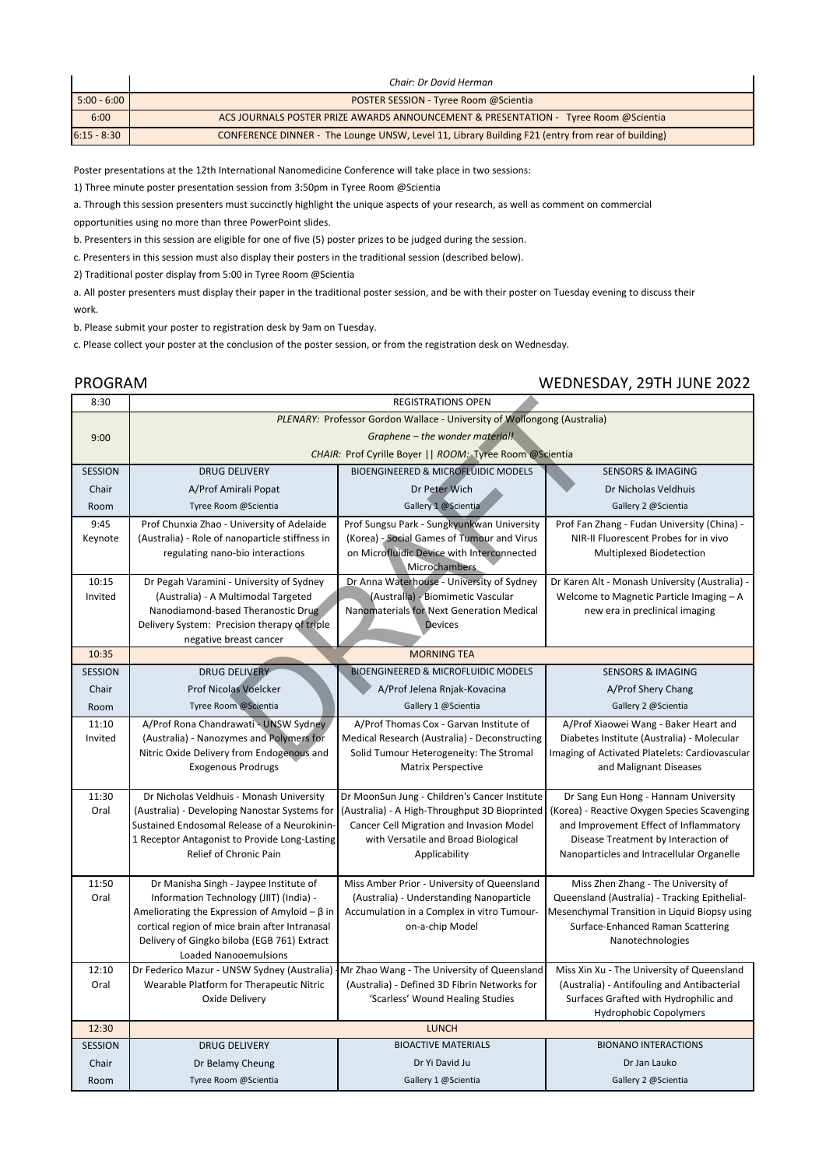|               | Chair: Dr David Herman                                                                            |
|---------------|---------------------------------------------------------------------------------------------------|
| $5:00 - 6:00$ | POSTER SESSION - Tyree Room @Scientia                                                             |
| 6:00          | ACS JOURNALS POSTER PRIZE AWARDS ANNOUNCEMENT & PRESENTATION - Tyree Room @Scientia               |
| $6:15 - 8:30$ | CONFERENCE DINNER - The Lounge UNSW, Level 11, Library Building F21 (entry from rear of building) |

Poster presentations at the 12th International Nanomedicine Conference will take place in two sessions:

1) Three minute poster presentation session from 3:50pm in Tyree Room @Scientia

a. Through this session presenters must succinctly highlight the unique aspects of your research, as well as comment on commercial

opportunities using no more than three PowerPoint slides.

b. Presenters in this session are eligible for one of five (5) poster prizes to be judged during the session.

c. Presenters in this session must also display their posters in the traditional session (described below).

2) Traditional poster display from 5:00 in Tyree Room @Scientia

a. All poster presenters must display their paper in the traditional poster session, and be with their poster on Tuesday evening to discuss their work.

b. Please submit your poster to registration desk by 9am on Tuesday.

c. Please collect your poster at the conclusion of the poster session, or from the registration desk on Wednesday.

## PROGRAM WEDNESDAY, 29TH JUNE 2022

| 8:30           | <b>REGISTRATIONS OPEN</b>                                                |                                                              |                                                                        |  |
|----------------|--------------------------------------------------------------------------|--------------------------------------------------------------|------------------------------------------------------------------------|--|
|                | PLENARY: Professor Gordon Wallace - University of Wollongong (Australia) |                                                              |                                                                        |  |
| 9:00           | Graphene - the wonder material!                                          |                                                              |                                                                        |  |
|                |                                                                          | CHAIR: Prof Cyrille Boyer     ROOM: Tyree Room @Scientia     |                                                                        |  |
| <b>SESSION</b> | <b>DRUG DELIVERY</b>                                                     | <b>BIOENGINEERED &amp; MICROFLUIDIC MODELS</b>               | <b>SENSORS &amp; IMAGING</b>                                           |  |
| Chair          | A/Prof Amirali Popat                                                     | Dr Peter Wich                                                | Dr Nicholas Veldhuis                                                   |  |
| Room           | Tyree Room @Scientia                                                     | Gallery 1 @Scientia                                          | Gallery 2 @Scientia                                                    |  |
| 9:45           | Prof Chunxia Zhao - University of Adelaide                               | Prof Sungsu Park - Sungkyunkwan University                   | Prof Fan Zhang - Fudan University (China) -                            |  |
| Keynote        | (Australia) - Role of nanoparticle stiffness in                          | (Korea) - Social Games of Tumour and Virus                   | NIR-II Fluorescent Probes for in vivo                                  |  |
|                | regulating nano-bio interactions                                         | on Microfluidic Device with Interconnected<br>Microchambers. | Multiplexed Biodetection                                               |  |
| 10:15          | Dr Pegah Varamini - University of Sydney                                 | Dr Anna Waterhouse - University of Sydney                    | Dr Karen Alt - Monash University (Australia) -                         |  |
| Invited        | (Australia) - A Multimodal Targeted                                      | (Australia) - Biomimetic Vascular                            | Welcome to Magnetic Particle Imaging - A                               |  |
|                | Nanodiamond-based Theranostic Drug                                       | Nanomaterials for Next Generation Medical                    | new era in preclinical imaging                                         |  |
|                | Delivery System: Precision therapy of triple                             | <b>Devices</b>                                               |                                                                        |  |
| 10:35          | negative breast cancer                                                   | <b>MORNING TEA</b>                                           |                                                                        |  |
| <b>SESSION</b> | <b>DRUG DELIVERY</b>                                                     | <b>BIOENGINEERED &amp; MICROFLUIDIC MODELS</b>               | <b>SENSORS &amp; IMAGING</b>                                           |  |
| Chair          | <b>Prof Nicolas Voelcker</b>                                             | A/Prof Jelena Rnjak-Kovacina                                 | A/Prof Shery Chang                                                     |  |
| Room           | Tyree Room @Scientia                                                     | Gallery 1 @Scientia                                          | Gallery 2 @Scientia                                                    |  |
| 11:10          | A/Prof Rona Chandrawati - UNSW Sydney                                    | A/Prof Thomas Cox - Garvan Institute of                      | A/Prof Xiaowei Wang - Baker Heart and                                  |  |
| Invited        | (Australia) - Nanozymes and Polymers for                                 | Medical Research (Australia) - Deconstructing                | Diabetes Institute (Australia) - Molecular                             |  |
|                | Nitric Oxide Delivery from Endogenous and                                | Solid Tumour Heterogeneity: The Stromal                      | Imaging of Activated Platelets: Cardiovascular                         |  |
|                | <b>Exogenous Prodrugs</b>                                                | <b>Matrix Perspective</b>                                    | and Malignant Diseases                                                 |  |
|                |                                                                          |                                                              |                                                                        |  |
| 11:30          | Dr Nicholas Veldhuis - Monash University                                 | Dr MoonSun Jung - Children's Cancer Institute                | Dr Sang Eun Hong - Hannam University                                   |  |
| Oral           | (Australia) - Developing Nanostar Systems for                            | (Australia) - A High-Throughput 3D Bioprinted                | (Korea) - Reactive Oxygen Species Scavenging                           |  |
|                | Sustained Endosomal Release of a Neurokinin-                             | Cancer Cell Migration and Invasion Model                     | and Improvement Effect of Inflammatory                                 |  |
|                | 1 Receptor Antagonist to Provide Long-Lasting                            | with Versatile and Broad Biological                          | Disease Treatment by Interaction of                                    |  |
|                | Relief of Chronic Pain                                                   | Applicability                                                | Nanoparticles and Intracellular Organelle                              |  |
| 11:50          | Dr Manisha Singh - Jaypee Institute of                                   | Miss Amber Prior - University of Queensland                  | Miss Zhen Zhang - The University of                                    |  |
| Oral           | Information Technology (JIIT) (India) -                                  | (Australia) - Understanding Nanoparticle                     | Queensland (Australia) - Tracking Epithelial-                          |  |
|                | Ameliorating the Expression of Amyloid $-\beta$ in                       | Accumulation in a Complex in vitro Tumour-                   | Mesenchymal Transition in Liquid Biopsy using                          |  |
|                | cortical region of mice brain after Intranasal                           | on-a-chip Model                                              | Surface-Enhanced Raman Scattering                                      |  |
|                | Delivery of Gingko biloba (EGB 761) Extract                              |                                                              | Nanotechnologies                                                       |  |
|                | <b>Loaded Nanooemulsions</b>                                             |                                                              |                                                                        |  |
| 12:10          | Dr Federico Mazur - UNSW Sydney (Australia)                              | Mr Zhao Wang - The University of Queensland                  | Miss Xin Xu - The University of Queensland                             |  |
| Oral           | Wearable Platform for Therapeutic Nitric                                 | (Australia) - Defined 3D Fibrin Networks for                 | (Australia) - Antifouling and Antibacterial                            |  |
|                | Oxide Delivery                                                           | 'Scarless' Wound Healing Studies                             | Surfaces Grafted with Hydrophilic and<br><b>Hydrophobic Copolymers</b> |  |
| 12:30          |                                                                          | <b>LUNCH</b>                                                 |                                                                        |  |
| <b>SESSION</b> | <b>DRUG DELIVERY</b>                                                     | <b>BIOACTIVE MATERIALS</b>                                   | <b>BIONANO INTERACTIONS</b>                                            |  |
| Chair          | Dr Belamy Cheung                                                         | Dr Yi David Ju                                               | Dr Jan Lauko                                                           |  |
| Room           | Tyree Room @Scientia                                                     | Gallery 1 @Scientia                                          | Gallery 2 @Scientia                                                    |  |
|                |                                                                          |                                                              |                                                                        |  |